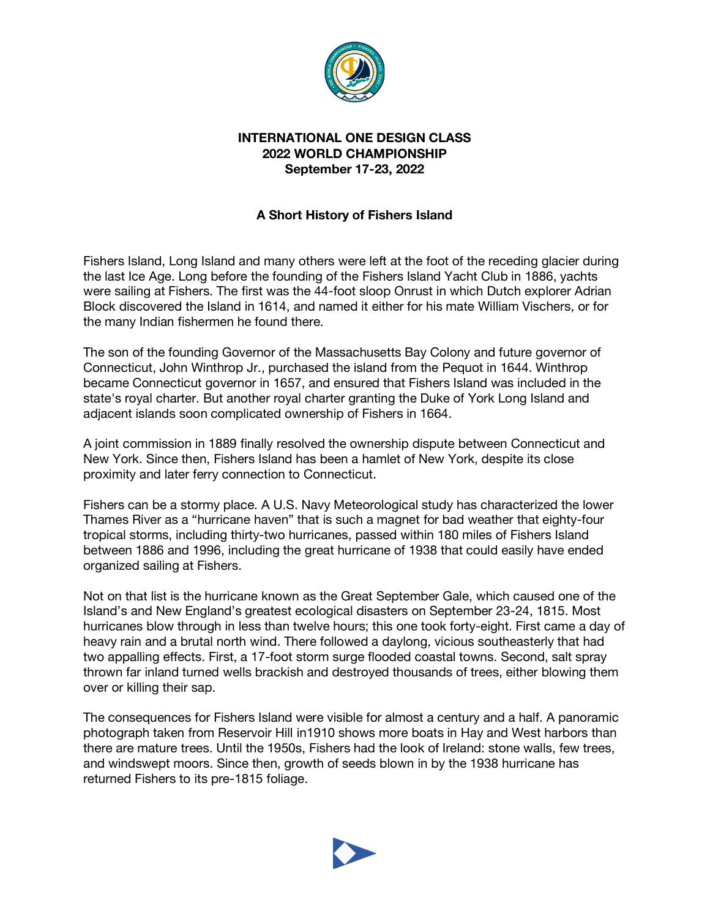

## **INTERNATIONAL ONE DESIGN CLASS 2022 WORLD CHAMPIONSHIP September 17-23, 2022**

## **A Short History of Fishers Island**

Fishers Island, Long Island and many others were left at the foot of the receding glacier during the last Ice Age. Long before the founding of the Fishers Island Yacht Club in 1886, yachts were sailing at Fishers. The first was the 44-foot sloop Onrust in which Dutch explorer Adrian Block discovered the Island in 1614, and named it either for his mate William Vischers, or for the many Indian fishermen he found there.

The son of the founding Governor of the Massachusetts Bay Colony and future governor of Connecticut, John Winthrop Jr., purchased the island from the Pequot in 1644. Winthrop became Connecticut governor in 1657, and ensured that Fishers Island was included in the state's royal charter. But another royal charter granting the Duke of York Long Island and adjacent islands soon complicated ownership of Fishers in 1664.

A joint commission in 1889 finally resolved the ownership dispute between Connecticut and New York. Since then, Fishers Island has been a hamlet of New York, despite its close proximity and later ferry connection to Connecticut.

Fishers can be a stormy place. A U.S. Navy Meteorological study has characterized the lower Thames River as a "hurricane haven" that is such a magnet for bad weather that eighty-four tropical storms, including thirty-two hurricanes, passed within 180 miles of Fishers Island between 1886 and 1996, including the great hurricane of 1938 that could easily have ended organized sailing at Fishers.

Not on that list is the hurricane known as the Great September Gale, which caused one of the Island's and New England's greatest ecological disasters on September 23-24, 1815. Most hurricanes blow through in less than twelve hours; this one took forty-eight. First came a day of heavy rain and a brutal north wind. There followed a daylong, vicious southeasterly that had two appalling effects. First, a 17-foot storm surge flooded coastal towns. Second, salt spray thrown far inland turned wells brackish and destroyed thousands of trees, either blowing them over or killing their sap.

The consequences for Fishers Island were visible for almost a century and a half. A panoramic photograph taken from Reservoir Hill in1910 shows more boats in Hay and West harbors than there are mature trees. Until the 1950s, Fishers had the look of Ireland: stone walls, few trees, and windswept moors. Since then, growth of seeds blown in by the 1938 hurricane has returned Fishers to its pre-1815 foliage.